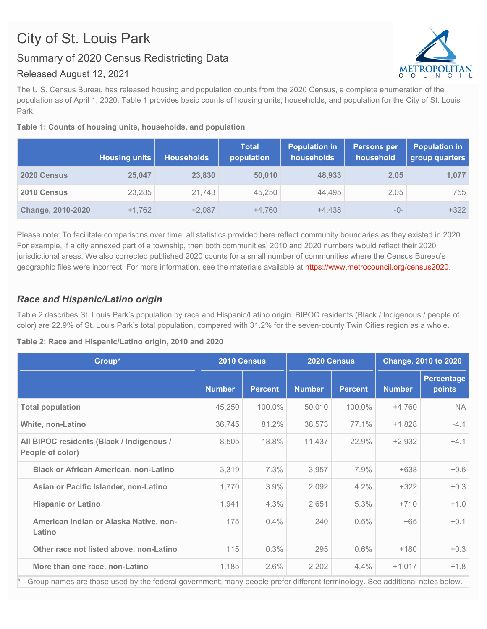# City of St. Louis Park

## Summary of 2020 Census Redistricting Data

#### Released August 12, 2021

The U.S. Census Bureau has released housing and population counts from the 2020 Census, a complete enumeration of the population as of April 1, 2020. Table 1 provides basic counts of housing units, households, and population for the City of St. Louis Park.

#### **Table 1: Counts of housing units, households, and population**

|                          | <b>Housing units</b> | <b>Households</b> | <b>Total</b><br>population | <b>Population in</b><br>households | <b>Persons per</b><br>household | <b>Population in</b><br>group quarters |
|--------------------------|----------------------|-------------------|----------------------------|------------------------------------|---------------------------------|----------------------------------------|
| 2020 Census              | 25,047               | 23,830            | 50,010                     | 48,933                             | 2.05                            | 1.077                                  |
| 2010 Census              | 23,285               | 21,743            | 45.250                     | 44,495                             | 2.05                            | 755                                    |
| <b>Change, 2010-2020</b> | $+1.762$             | $+2.087$          | $+4.760$                   | $+4.438$                           | -0-                             | $+322$                                 |

Please note: To facilitate comparisons over time, all statistics provided here reflect community boundaries as they existed in 2020. For example, if a city annexed part of a township, then both communities' 2010 and 2020 numbers would reflect their 2020 jurisdictional areas. We also corrected published 2020 counts for a small number of communities where the Census Bureau's geographic files were incorrect. For more information, see the materials available at <https://www.metrocouncil.org/census2020>.

### *Race and Hispanic/Latino origin*

Table 2 describes St. Louis Park's population by race and Hispanic/Latino origin. BIPOC residents (Black / Indigenous / people of color) are 22.9% of St. Louis Park's total population, compared with 31.2% for the seven-county Twin Cities region as a whole.

**Table 2: Race and Hispanic/Latino origin, 2010 and 2020**

| Group*                                                                                                                          | 2010 Census   |                | 2020 Census   |                | <b>Change, 2010 to 2020</b> |                             |  |
|---------------------------------------------------------------------------------------------------------------------------------|---------------|----------------|---------------|----------------|-----------------------------|-----------------------------|--|
|                                                                                                                                 | <b>Number</b> | <b>Percent</b> | <b>Number</b> | <b>Percent</b> | <b>Number</b>               | <b>Percentage</b><br>points |  |
| <b>Total population</b>                                                                                                         | 45,250        | 100.0%         | 50,010        | 100.0%         | $+4,760$                    | NA.                         |  |
| <b>White, non-Latino</b>                                                                                                        | 36,745        | 81.2%          | 38,573        | 77.1%          | $+1,828$                    | $-4.1$                      |  |
| All BIPOC residents (Black / Indigenous /<br>People of color)                                                                   | 8,505         | 18.8%          | 11,437        | 22.9%          | $+2,932$                    | $+4.1$                      |  |
| <b>Black or African American, non-Latino</b>                                                                                    | 3,319         | 7.3%           | 3,957         | 7.9%           | $+638$                      | $+0.6$                      |  |
| Asian or Pacific Islander, non-Latino                                                                                           | 1,770         | 3.9%           | 2,092         | 4.2%           | $+322$                      | $+0.3$                      |  |
| <b>Hispanic or Latino</b>                                                                                                       | 1,941         | 4.3%           | 2,651         | 5.3%           | $+710$                      | $+1.0$                      |  |
| American Indian or Alaska Native, non-<br>Latino                                                                                | 175           | 0.4%           | 240           | 0.5%           | $+65$                       | $+0.1$                      |  |
| Other race not listed above, non-Latino                                                                                         | 115           | 0.3%           | 295           | 0.6%           | $+180$                      | $+0.3$                      |  |
| More than one race, non-Latino                                                                                                  | 1,185         | 2.6%           | 2,202         | 4.4%           | $+1,017$                    | $+1.8$                      |  |
| * - Group names are those used by the federal government; many people prefer different terminology. See additional notes below. |               |                |               |                |                             |                             |  |